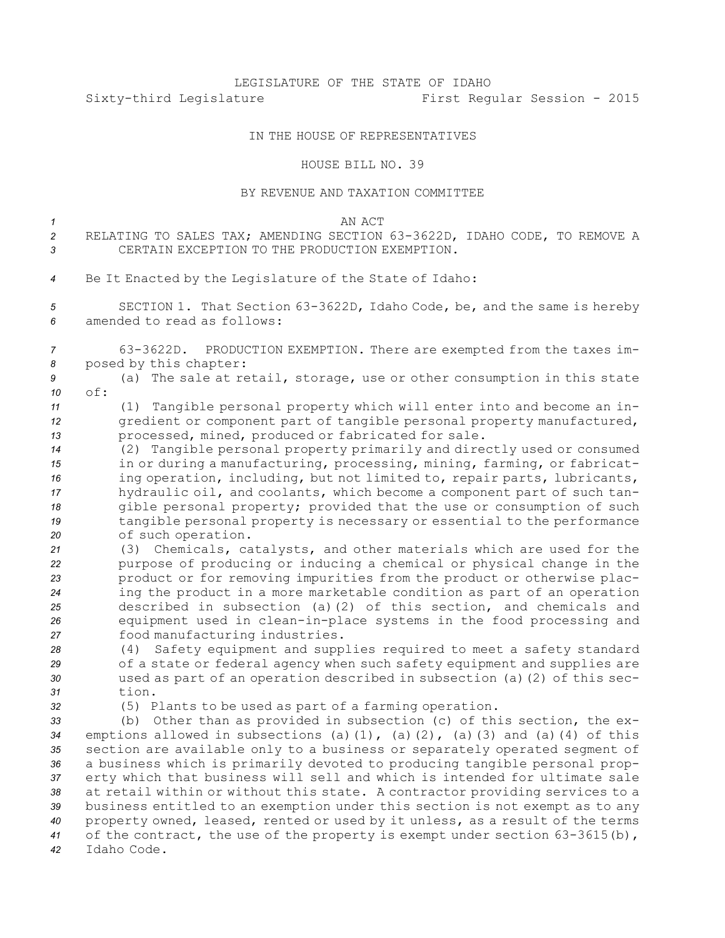## LEGISLATURE OF THE STATE OF IDAHO Sixty-third Legislature First Regular Session - 2015

## IN THE HOUSE OF REPRESENTATIVES

## HOUSE BILL NO. 39

## BY REVENUE AND TAXATION COMMITTEE

| $\mathcal I$   | AN ACT                                                                                                                                        |
|----------------|-----------------------------------------------------------------------------------------------------------------------------------------------|
| $\overline{c}$ | RELATING TO SALES TAX; AMENDING SECTION 63-3622D, IDAHO CODE, TO REMOVE A                                                                     |
| 3              | CERTAIN EXCEPTION TO THE PRODUCTION EXEMPTION.                                                                                                |
|                |                                                                                                                                               |
| 4              | Be It Enacted by the Legislature of the State of Idaho:                                                                                       |
| 5              | SECTION 1. That Section 63-3622D, Idaho Code, be, and the same is hereby                                                                      |
| 6              | amended to read as follows:                                                                                                                   |
|                |                                                                                                                                               |
| 7              | PRODUCTION EXEMPTION. There are exempted from the taxes im-<br>63-3622D.                                                                      |
| 8              | posed by this chapter:                                                                                                                        |
| 9              | (a) The sale at retail, storage, use or other consumption in this state                                                                       |
| 10             | of:                                                                                                                                           |
| 11             | (1) Tangible personal property which will enter into and become an in-                                                                        |
| 12<br>13       | gredient or component part of tangible personal property manufactured,<br>processed, mined, produced or fabricated for sale.                  |
| 14             | (2) Tangible personal property primarily and directly used or consumed                                                                        |
| 15             | in or during a manufacturing, processing, mining, farming, or fabricat-                                                                       |
| 16             | ing operation, including, but not limited to, repair parts, lubricants,                                                                       |
| 17             | hydraulic oil, and coolants, which become a component part of such tan-                                                                       |
| 18             | gible personal property; provided that the use or consumption of such                                                                         |
| 19             | tangible personal property is necessary or essential to the performance                                                                       |
| 20             | of such operation.                                                                                                                            |
| 21<br>22       | (3) Chemicals, catalysts, and other materials which are used for the<br>purpose of producing or inducing a chemical or physical change in the |
| 23             | product or for removing impurities from the product or otherwise plac-                                                                        |
| 24             | ing the product in a more marketable condition as part of an operation                                                                        |
| 25             | described in subsection (a)(2) of this section, and chemicals and                                                                             |
| 26             | equipment used in clean-in-place systems in the food processing and                                                                           |
| 27             | food manufacturing industries.                                                                                                                |
| 28             | Safety equipment and supplies required to meet a safety standard<br>(4)                                                                       |
| 29             | of a state or federal agency when such safety equipment and supplies are                                                                      |
| 30             | used as part of an operation described in subsection (a) (2) of this sec-                                                                     |
| 31<br>32       | tion.<br>(5) Plants to be used as part of a farming operation.                                                                                |
| 33             | (b) Other than as provided in subsection (c) of this section, the ex-                                                                         |
| 34             | emptions allowed in subsections (a)(1), (a)(2), (a)(3) and (a)(4) of this                                                                     |
| 35             | section are available only to a business or separately operated segment of                                                                    |
| 36             | a business which is primarily devoted to producing tangible personal prop-                                                                    |
| 37             | erty which that business will sell and which is intended for ultimate sale                                                                    |
| 38             | at retail within or without this state. A contractor providing services to a                                                                  |
| 39             | business entitled to an exemption under this section is not exempt as to any                                                                  |
| 40             | property owned, leased, rented or used by it unless, as a result of the terms                                                                 |
| 41<br>42       | of the contract, the use of the property is exempt under section $63-3615(b)$ ,<br>Idaho Code.                                                |
|                |                                                                                                                                               |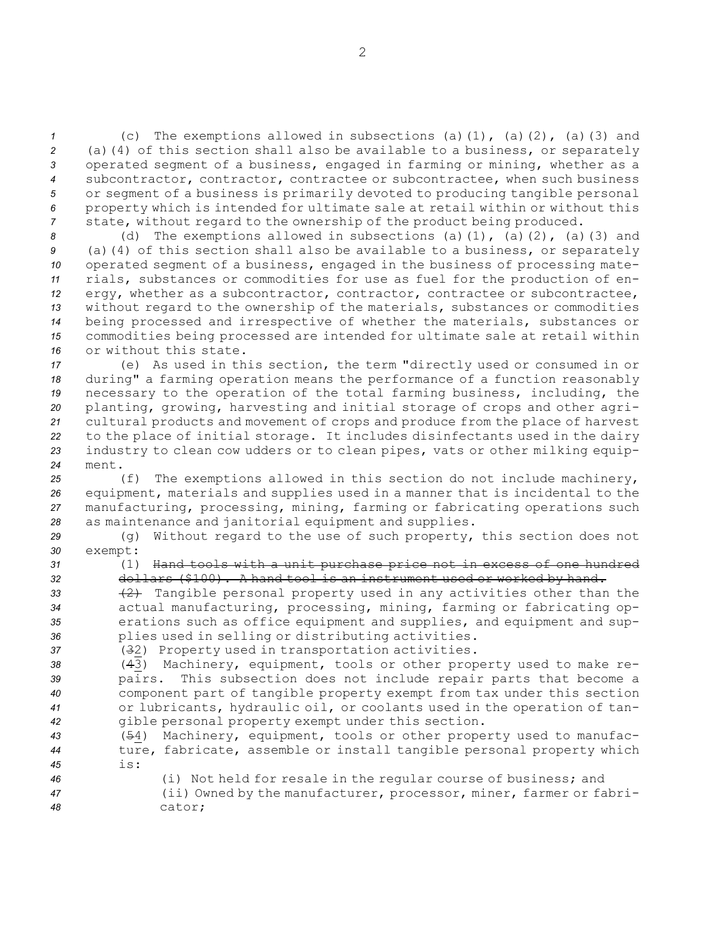(c) The exemptions allowed in subsections (a)(1), (a)(2), (a)(3) and (a)(4) of this section shall also be available to <sup>a</sup> business, or separately operated segment of <sup>a</sup> business, engaged in farming or mining, whether as <sup>a</sup> subcontractor, contractor, contractee or subcontractee, when such business or segment of <sup>a</sup> business is primarily devoted to producing tangible personal property which is intended for ultimate sale at retail within or without this state, without regard to the ownership of the product being produced.

 (d) The exemptions allowed in subsections (a)(1), (a)(2), (a)(3) and (a)(4) of this section shall also be available to <sup>a</sup> business, or separately operated segment of <sup>a</sup> business, engaged in the business of processing mate- rials, substances or commodities for use as fuel for the production of en-12 ergy, whether as a subcontractor, contractor, contractee or subcontractee, without regard to the ownership of the materials, substances or commodities being processed and irrespective of whether the materials, substances or commodities being processed are intended for ultimate sale at retail within or without this state.

 (e) As used in this section, the term "directly used or consumed in or during" <sup>a</sup> farming operation means the performance of <sup>a</sup> function reasonably necessary to the operation of the total farming business, including, the planting, growing, harvesting and initial storage of crops and other agri- cultural products and movement of crops and produce from the place of harvest to the place of initial storage. It includes disinfectants used in the dairy industry to clean cow udders or to clean pipes, vats or other milking equip-*24* ment.

 (f) The exemptions allowed in this section do not include machinery, equipment, materials and supplies used in <sup>a</sup> manner that is incidental to the manufacturing, processing, mining, farming or fabricating operations such as maintenance and janitorial equipment and supplies.

*<sup>29</sup>* (g) Without regard to the use of such property, this section does not *30* exempt:

*<sup>31</sup>* (1) Hand tools with <sup>a</sup> unit purchase price not in excess of one hundred *<sup>32</sup>* dollars (\$100). <sup>A</sup> hand tool is an instrument used or worked by hand.

33 (2) Tangible personal property used in any activities other than the actual manufacturing, processing, mining, farming or fabricating op- erations such as office equipment and supplies, and equipment and sup-plies used in selling or distributing activities.

*<sup>37</sup>* (32) Property used in transportation activities.

 (43) Machinery, equipment, tools or other property used to make re- pairs. This subsection does not include repair parts that become <sup>a</sup> component part of tangible property exempt from tax under this section or lubricants, hydraulic oil, or coolants used in the operation of tan-gible personal property exempt under this section.

*<sup>43</sup>* (54) Machinery, equipment, tools or other property used to manufac-*<sup>44</sup>* ture, fabricate, assemble or install tangible personal property which *45* is:

*<sup>46</sup>* (i) Not held for resale in the regular course of business; and *<sup>47</sup>* (ii) Owned by the manufacturer, processor, miner, farmer or fabri-*48* cator;